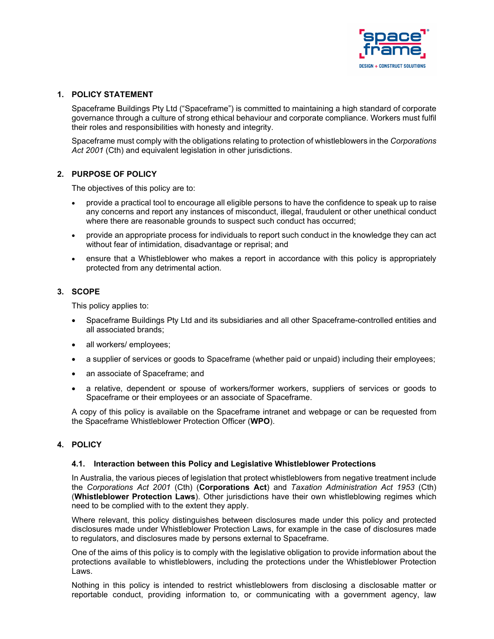

### **1. POLICY STATEMENT**

Spaceframe Buildings Pty Ltd ("Spaceframe") is committed to maintaining a high standard of corporate governance through a culture of strong ethical behaviour and corporate compliance. Workers must fulfil their roles and responsibilities with honesty and integrity.

Spaceframe must comply with the obligations relating to protection of whistleblowers in the *Corporations Act 2001* (Cth) and equivalent legislation in other jurisdictions.

## **2. PURPOSE OF POLICY**

The objectives of this policy are to:

- provide a practical tool to encourage all eligible persons to have the confidence to speak up to raise any concerns and report any instances of misconduct, illegal, fraudulent or other unethical conduct where there are reasonable grounds to suspect such conduct has occurred;
- provide an appropriate process for individuals to report such conduct in the knowledge they can act without fear of intimidation, disadvantage or reprisal; and
- ensure that a Whistleblower who makes a report in accordance with this policy is appropriately protected from any detrimental action.

## **3. SCOPE**

This policy applies to:

- Spaceframe Buildings Pty Ltd and its subsidiaries and all other Spaceframe-controlled entities and all associated brands;
- all workers/ employees;
- a supplier of services or goods to Spaceframe (whether paid or unpaid) including their employees;
- an associate of Spaceframe; and
- a relative, dependent or spouse of workers/former workers, suppliers of services or goods to Spaceframe or their employees or an associate of Spaceframe.

A copy of this policy is available on the Spaceframe intranet and webpage or can be requested from the Spaceframe Whistleblower Protection Officer (**WPO**).

## **4. POLICY**

#### **4.1. Interaction between this Policy and Legislative Whistleblower Protections**

In Australia, the various pieces of legislation that protect whistleblowers from negative treatment include the *Corporations Act 2001* (Cth) (**Corporations Act**) and *Taxation Administration Act 1953* (Cth) (**Whistleblower Protection Laws**). Other jurisdictions have their own whistleblowing regimes which need to be complied with to the extent they apply.

Where relevant, this policy distinguishes between disclosures made under this policy and protected disclosures made under Whistleblower Protection Laws, for example in the case of disclosures made to regulators, and disclosures made by persons external to Spaceframe.

One of the aims of this policy is to comply with the legislative obligation to provide information about the protections available to whistleblowers, including the protections under the Whistleblower Protection Laws.

Nothing in this policy is intended to restrict whistleblowers from disclosing a disclosable matter or reportable conduct, providing information to, or communicating with a government agency, law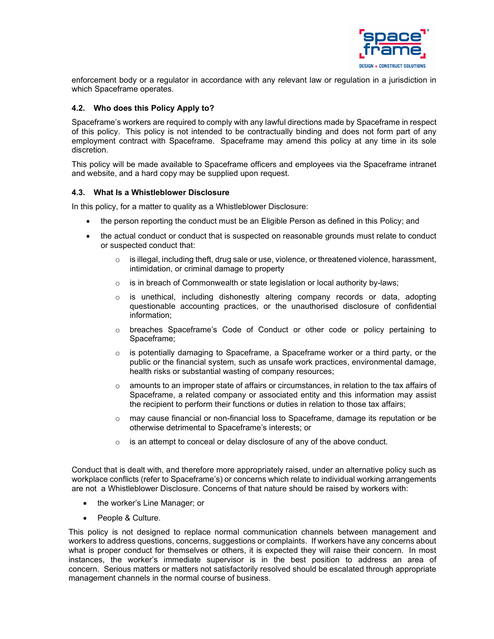

enforcement body or a regulator in accordance with any relevant law or regulation in a jurisdiction in which Spaceframe operates.

### **4.2. Who does this Policy Apply to?**

Spaceframe's workers are required to comply with any lawful directions made by Spaceframe in respect of this policy. This policy is not intended to be contractually binding and does not form part of any employment contract with Spaceframe. Spaceframe may amend this policy at any time in its sole discretion.

This policy will be made available to Spaceframe officers and employees via the Spaceframe intranet and website, and a hard copy may be supplied upon request.

#### **4.3. What Is a Whistleblower Disclosure**

In this policy, for a matter to quality as a Whistleblower Disclosure:

- the person reporting the conduct must be an Eligible Person as defined in this Policy; and
- the actual conduct or conduct that is suspected on reasonable grounds must relate to conduct or suspected conduct that:
	- $\circ$  is illegal, including theft, drug sale or use, violence, or threatened violence, harassment, intimidation, or criminal damage to property
	- $\circ$  is in breach of Commonwealth or state legislation or local authority by-laws;
	- o is unethical, including dishonestly altering company records or data, adopting questionable accounting practices, or the unauthorised disclosure of confidential information;
	- o breaches Spaceframe's [Code of Conduct](https://kslcloud.sharepoint.com/sites/business-partnering-and-employee-relations/_layouts/15/DocIdRedir.aspx?ID=BPER-1574235210-22) or other code or policy pertaining to Spaceframe;
	- $\circ$  is potentially damaging to Spaceframe, a Spaceframe worker or a third party, or the public or the financial system, such as unsafe work practices, environmental damage, health risks or substantial wasting of company resources;
	- $\circ$  amounts to an improper state of affairs or circumstances, in relation to the tax affairs of Spaceframe, a related company or associated entity and this information may assist the recipient to perform their functions or duties in relation to those tax affairs;
	- $\circ$  may cause financial or non-financial loss to Spaceframe, damage its reputation or be otherwise detrimental to Spaceframe's interests; or
	- o is an attempt to conceal or delay disclosure of any of the above conduct.

Conduct that is dealt with, and therefore more appropriately raised, under an alternative policy such as workplace conflicts (refer to Spaceframe's) or concerns which relate to individual working arrangements are not a Whistleblower Disclosure. Concerns of that nature should be raised by workers with:

- the worker's Line Manager; or
- People & Culture.

This policy is not designed to replace normal communication channels between management and workers to address questions, concerns, suggestions or complaints. If workers have any concerns about what is proper conduct for themselves or others, it is expected they will raise their concern. In most instances, the worker's immediate supervisor is in the best position to address an area of concern. Serious matters or matters not satisfactorily resolved should be escalated through appropriate management channels in the normal course of business.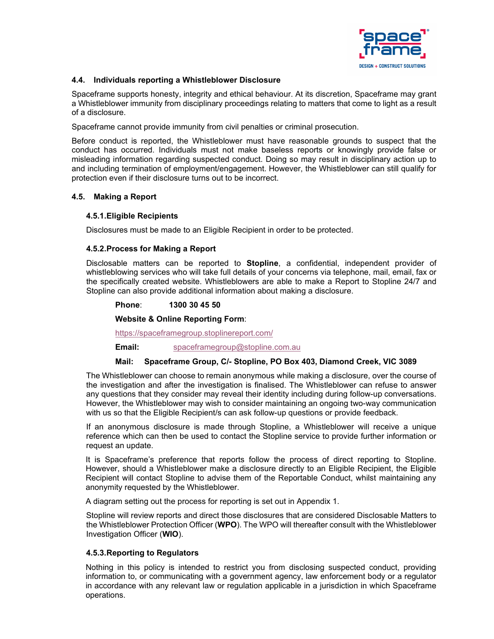

### **4.4. Individuals reporting a Whistleblower Disclosure**

Spaceframe supports honesty, integrity and ethical behaviour. At its discretion, Spaceframe may grant a Whistleblower immunity from disciplinary proceedings relating to matters that come to light as a result of a disclosure.

Spaceframe cannot provide immunity from civil penalties or criminal prosecution.

Before conduct is reported, the Whistleblower must have reasonable grounds to suspect that the conduct has occurred. Individuals must not make baseless reports or knowingly provide false or misleading information regarding suspected conduct. Doing so may result in disciplinary action up to and including termination of employment/engagement. However, the Whistleblower can still qualify for protection even if their disclosure turns out to be incorrect.

## **4.5. Making a Report**

## **4.5.1.Eligible Recipients**

Disclosures must be made to an Eligible Recipient in order to be protected.

#### **4.5.2.Process for Making a Report**

Disclosable matters can be reported to **Stopline**, a confidential, independent provider of whistleblowing services who will take full details of your concerns via telephone, mail, email, fax or the specifically created website. Whistleblowers are able to make a Report to Stopline 24/7 and Stopline can also provide additional information about making a disclosure.

#### **Phone**: **1300 30 45 50**

**Website & Online Reporting Form**:

<https://spaceframegroup.stoplinereport.com/>

**Email:** [spaceframegroup@stopline.com.au](mailto:spaceframegroup@stopline.com.au)

#### **Mail: Spaceframe Group, C/- Stopline, PO Box 403, Diamond Creek, VIC 3089**

The Whistleblower can choose to remain anonymous while making a disclosure, over the course of the investigation and after the investigation is finalised. The Whistleblower can refuse to answer any questions that they consider may reveal their identity including during follow-up conversations. However, the Whistleblower may wish to consider maintaining an ongoing two-way communication with us so that the Eligible Recipient/s can ask follow-up questions or provide feedback.

If an anonymous disclosure is made through Stopline, a Whistleblower will receive a unique reference which can then be used to contact the Stopline service to provide further information or request an update.

It is Spaceframe's preference that reports follow the process of direct reporting to Stopline. However, should a Whistleblower make a disclosure directly to an Eligible Recipient, the Eligible Recipient will contact Stopline to advise them of the Reportable Conduct, whilst maintaining any anonymity requested by the Whistleblower.

A diagram setting out the process for reporting is set out in Appendix 1.

Stopline will review reports and direct those disclosures that are considered Disclosable Matters to the Whistleblower Protection Officer (**WPO**). The WPO will thereafter consult with the Whistleblower Investigation Officer (**WIO**).

#### **4.5.3.Reporting to Regulators**

Nothing in this policy is intended to restrict you from disclosing suspected conduct, providing information to, or communicating with a government agency, law enforcement body or a regulator in accordance with any relevant law or regulation applicable in a jurisdiction in which Spaceframe operations.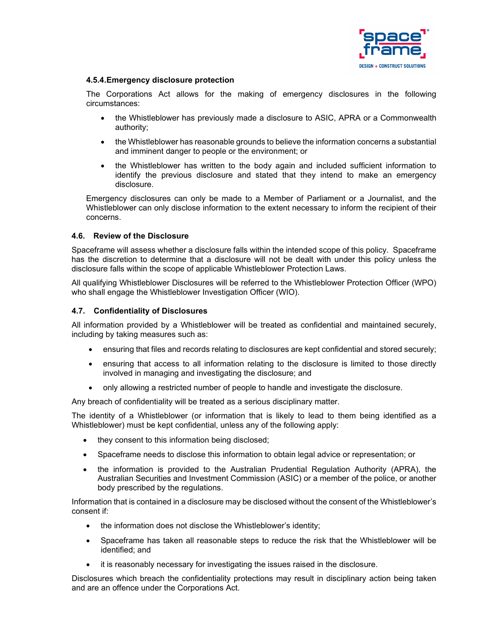

### **4.5.4.Emergency disclosure protection**

The Corporations Act allows for the making of emergency disclosures in the following circumstances:

- the Whistleblower has previously made a disclosure to ASIC, APRA or a Commonwealth authority;
- the Whistleblower has reasonable grounds to believe the information concerns a substantial and imminent danger to people or the environment; or
- the Whistleblower has written to the body again and included sufficient information to identify the previous disclosure and stated that they intend to make an emergency disclosure.

Emergency disclosures can only be made to a Member of Parliament or a Journalist, and the Whistleblower can only disclose information to the extent necessary to inform the recipient of their concerns.

#### **4.6. Review of the Disclosure**

Spaceframe will assess whether a disclosure falls within the intended scope of this policy. Spaceframe has the discretion to determine that a disclosure will not be dealt with under this policy unless the disclosure falls within the scope of applicable Whistleblower Protection Laws.

All qualifying Whistleblower Disclosures will be referred to the Whistleblower Protection Officer (WPO) who shall engage the Whistleblower Investigation Officer (WIO).

## **4.7. Confidentiality of Disclosures**

All information provided by a Whistleblower will be treated as confidential and maintained securely, including by taking measures such as:

- ensuring that files and records relating to disclosures are kept confidential and stored securely;
- ensuring that access to all information relating to the disclosure is limited to those directly involved in managing and investigating the disclosure; and
- only allowing a restricted number of people to handle and investigate the disclosure.

Any breach of confidentiality will be treated as a serious disciplinary matter.

The identity of a Whistleblower (or information that is likely to lead to them being identified as a Whistleblower) must be kept confidential, unless any of the following apply:

- they consent to this information being disclosed;
- Spaceframe needs to disclose this information to obtain legal advice or representation; or
- the information is provided to the Australian Prudential Regulation Authority (APRA), the Australian Securities and Investment Commission (ASIC) or a member of the police, or another body prescribed by the regulations.

Information that is contained in a disclosure may be disclosed without the consent of the Whistleblower's consent if:

- the information does not disclose the Whistleblower's identity;
- Spaceframe has taken all reasonable steps to reduce the risk that the Whistleblower will be identified; and
- it is reasonably necessary for investigating the issues raised in the disclosure.

Disclosures which breach the confidentiality protections may result in disciplinary action being taken and are an offence under the Corporations Act.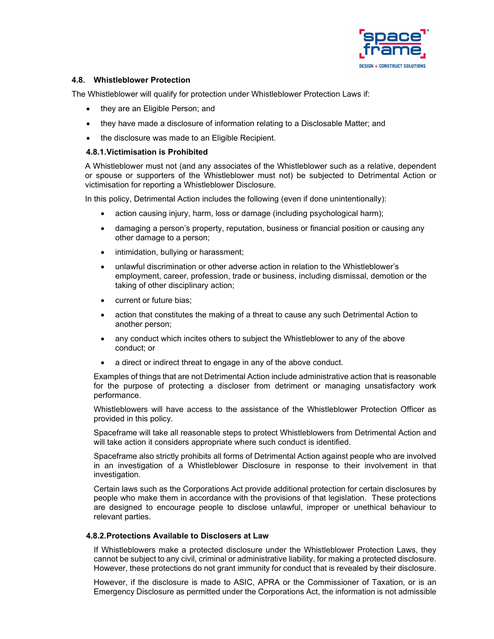

### **4.8. Whistleblower Protection**

The Whistleblower will qualify for protection under Whistleblower Protection Laws if:

- they are an Eligible Person; and
- they have made a disclosure of information relating to a Disclosable Matter; and
- the disclosure was made to an Eligible Recipient.

### **4.8.1.Victimisation is Prohibited**

A Whistleblower must not (and any associates of the Whistleblower such as a relative, dependent or spouse or supporters of the Whistleblower must not) be subjected to Detrimental Action or victimisation for reporting a Whistleblower Disclosure.

In this policy, Detrimental Action includes the following (even if done unintentionally):

- action causing injury, harm, loss or damage (including psychological harm);
- damaging a person's property, reputation, business or financial position or causing any other damage to a person;
- intimidation, bullying or harassment;
- unlawful discrimination or other adverse action in relation to the Whistleblower's employment, career, profession, trade or business, including dismissal, demotion or the taking of other disciplinary action;
- current or future bias;
- action that constitutes the making of a threat to cause any such Detrimental Action to another person;
- any conduct which incites others to subject the Whistleblower to any of the above conduct; or
- a direct or indirect threat to engage in any of the above conduct.

Examples of things that are not Detrimental Action include administrative action that is reasonable for the purpose of protecting a discloser from detriment or managing unsatisfactory work performance.

Whistleblowers will have access to the assistance of the Whistleblower Protection Officer as provided in this policy.

Spaceframe will take all reasonable steps to protect Whistleblowers from Detrimental Action and will take action it considers appropriate where such conduct is identified.

Spaceframe also strictly prohibits all forms of Detrimental Action against people who are involved in an investigation of a Whistleblower Disclosure in response to their involvement in that investigation.

Certain laws such as the Corporations Act provide additional protection for certain disclosures by people who make them in accordance with the provisions of that legislation. These protections are designed to encourage people to disclose unlawful, improper or unethical behaviour to relevant parties.

#### **4.8.2.Protections Available to Disclosers at Law**

If Whistleblowers make a protected disclosure under the Whistleblower Protection Laws, they cannot be subject to any civil, criminal or administrative liability, for making a protected disclosure. However, these protections do not grant immunity for conduct that is revealed by their disclosure.

However, if the disclosure is made to ASIC, APRA or the Commissioner of Taxation, or is an Emergency Disclosure as permitted under the Corporations Act, the information is not admissible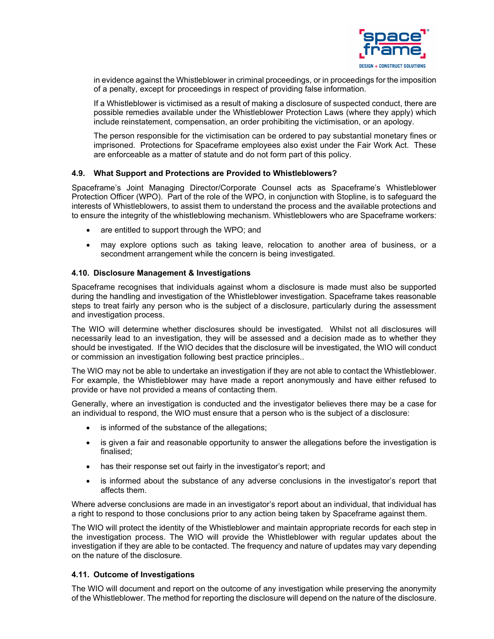

in evidence against the Whistleblower in criminal proceedings, or in proceedings for the imposition of a penalty, except for proceedings in respect of providing false information.

If a Whistleblower is victimised as a result of making a disclosure of suspected conduct, there are possible remedies available under the Whistleblower Protection Laws (where they apply) which include reinstatement, compensation, an order prohibiting the victimisation, or an apology.

The person responsible for the victimisation can be ordered to pay substantial monetary fines or imprisoned. Protections for Spaceframe employees also exist under the Fair Work Act. These are enforceable as a matter of statute and do not form part of this policy.

#### **4.9. What Support and Protections are Provided to Whistleblowers?**

Spaceframe's Joint Managing Director/Corporate Counsel acts as Spaceframe's Whistleblower Protection Officer (WPO). Part of the role of the WPO, in conjunction with Stopline, is to safeguard the interests of Whistleblowers, to assist them to understand the process and the available protections and to ensure the integrity of the whistleblowing mechanism. Whistleblowers who are Spaceframe workers:

- are entitled to support through the WPO; and
- may explore options such as taking leave, relocation to another area of business, or a secondment arrangement while the concern is being investigated.

## **4.10. Disclosure Management & Investigations**

Spaceframe recognises that individuals against whom a disclosure is made must also be supported during the handling and investigation of the Whistleblower investigation. Spaceframe takes reasonable steps to treat fairly any person who is the subject of a disclosure, particularly during the assessment and investigation process.

The WIO will determine whether disclosures should be investigated. Whilst not all disclosures will necessarily lead to an investigation, they will be assessed and a decision made as to whether they should be investigated. If the WIO decides that the disclosure will be investigated, the WIO will conduct or commission an investigation following best practice principles..

The WIO may not be able to undertake an investigation if they are not able to contact the Whistleblower. For example, the Whistleblower may have made a report anonymously and have either refused to provide or have not provided a means of contacting them.

Generally, where an investigation is conducted and the investigator believes there may be a case for an individual to respond, the WIO must ensure that a person who is the subject of a disclosure:

- is informed of the substance of the allegations;
- is given a fair and reasonable opportunity to answer the allegations before the investigation is finalised;
- has their response set out fairly in the investigator's report; and
- is informed about the substance of any adverse conclusions in the investigator's report that affects them.

Where adverse conclusions are made in an investigator's report about an individual, that individual has a right to respond to those conclusions prior to any action being taken by Spaceframe against them.

The WIO will protect the identity of the Whistleblower and maintain appropriate records for each step in the investigation process. The WIO will provide the Whistleblower with regular updates about the investigation if they are able to be contacted. The frequency and nature of updates may vary depending on the nature of the disclosure.

#### **4.11. Outcome of Investigations**

The WIO will document and report on the outcome of any investigation while preserving the anonymity of the Whistleblower. The method for reporting the disclosure will depend on the nature of the disclosure.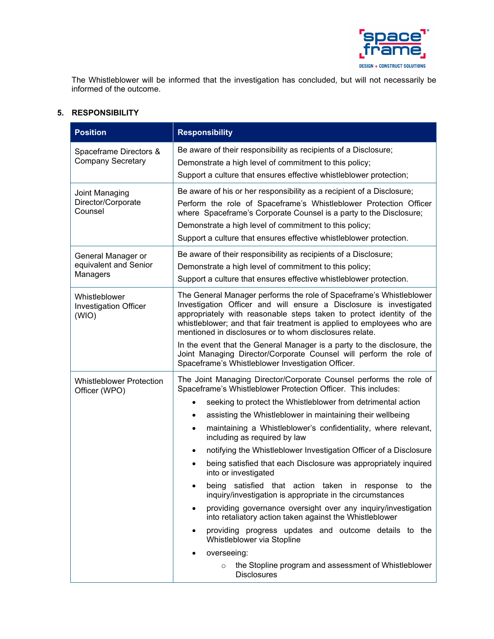

The Whistleblower will be informed that the investigation has concluded, but will not necessarily be informed of the outcome.

## **5. RESPONSIBILITY**

| <b>Position</b>                                         | <b>Responsibility</b>                                                                                                                                                                                                                                                                                                                                                                                                                                                                                                                                                                                                                                                                                                                                                                                                                                                                                                                                                                                                                                     |
|---------------------------------------------------------|-----------------------------------------------------------------------------------------------------------------------------------------------------------------------------------------------------------------------------------------------------------------------------------------------------------------------------------------------------------------------------------------------------------------------------------------------------------------------------------------------------------------------------------------------------------------------------------------------------------------------------------------------------------------------------------------------------------------------------------------------------------------------------------------------------------------------------------------------------------------------------------------------------------------------------------------------------------------------------------------------------------------------------------------------------------|
| Spaceframe Directors &<br><b>Company Secretary</b>      | Be aware of their responsibility as recipients of a Disclosure;<br>Demonstrate a high level of commitment to this policy;<br>Support a culture that ensures effective whistleblower protection;                                                                                                                                                                                                                                                                                                                                                                                                                                                                                                                                                                                                                                                                                                                                                                                                                                                           |
| Joint Managing<br>Director/Corporate<br>Counsel         | Be aware of his or her responsibility as a recipient of a Disclosure;<br>Perform the role of Spaceframe's Whistleblower Protection Officer<br>where Spaceframe's Corporate Counsel is a party to the Disclosure;<br>Demonstrate a high level of commitment to this policy;<br>Support a culture that ensures effective whistleblower protection.                                                                                                                                                                                                                                                                                                                                                                                                                                                                                                                                                                                                                                                                                                          |
| General Manager or<br>equivalent and Senior<br>Managers | Be aware of their responsibility as recipients of a Disclosure;<br>Demonstrate a high level of commitment to this policy;<br>Support a culture that ensures effective whistleblower protection.                                                                                                                                                                                                                                                                                                                                                                                                                                                                                                                                                                                                                                                                                                                                                                                                                                                           |
| Whistleblower<br><b>Investigation Officer</b><br>(WIO)  | The General Manager performs the role of Spaceframe's Whistleblower<br>Investigation Officer and will ensure a Disclosure is investigated<br>appropriately with reasonable steps taken to protect identity of the<br>whistleblower; and that fair treatment is applied to employees who are<br>mentioned in disclosures or to whom disclosures relate.<br>In the event that the General Manager is a party to the disclosure, the<br>Joint Managing Director/Corporate Counsel will perform the role of<br>Spaceframe's Whistleblower Investigation Officer.                                                                                                                                                                                                                                                                                                                                                                                                                                                                                              |
| <b>Whistleblower Protection</b><br>Officer (WPO)        | The Joint Managing Director/Corporate Counsel performs the role of<br>Spaceframe's Whistleblower Protection Officer. This includes:<br>seeking to protect the Whistleblower from detrimental action<br>assisting the Whistleblower in maintaining their wellbeing<br>$\bullet$<br>maintaining a Whistleblower's confidentiality, where relevant,<br>$\bullet$<br>including as required by law<br>notifying the Whistleblower Investigation Officer of a Disclosure<br>$\bullet$<br>being satisfied that each Disclosure was appropriately inquired<br>$\bullet$<br>into or investigated<br>being satisfied that action taken in response to the<br>inquiry/investigation is appropriate in the circumstances<br>providing governance oversight over any inquiry/investigation<br>٠<br>into retaliatory action taken against the Whistleblower<br>providing progress updates and outcome details to the<br>$\bullet$<br>Whistleblower via Stopline<br>overseeing:<br>the Stopline program and assessment of Whistleblower<br>$\circ$<br><b>Disclosures</b> |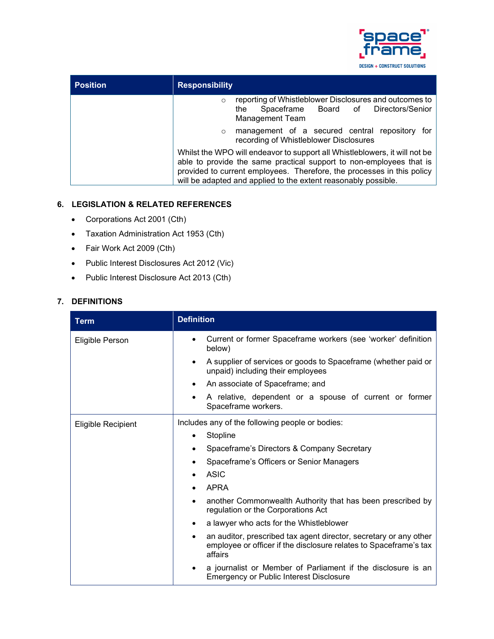

| <b>Position</b> | <b>Responsibility</b>                                                                                                                                                                                                                                                                         |
|-----------------|-----------------------------------------------------------------------------------------------------------------------------------------------------------------------------------------------------------------------------------------------------------------------------------------------|
|                 | reporting of Whistleblower Disclosures and outcomes to<br>$\Omega$<br>Spaceframe Board of Directors/Senior<br>the<br><b>Management Team</b>                                                                                                                                                   |
|                 | management of a secured central repository<br>for<br>$\circ$<br>recording of Whistleblower Disclosures                                                                                                                                                                                        |
|                 | Whilst the WPO will endeavor to support all Whistleblowers, it will not be<br>able to provide the same practical support to non-employees that is<br>provided to current employees. Therefore, the processes in this policy<br>will be adapted and applied to the extent reasonably possible. |

## **6. LEGISLATION & RELATED REFERENCES**

- Corporations Act 2001 (Cth)
- Taxation Administration Act 1953 (Cth)
- Fair Work Act 2009 (Cth)
- Public Interest Disclosures Act 2012 (Vic)
- Public Interest Disclosure Act 2013 (Cth)

# **7. DEFINITIONS**

| <b>Term</b>        | <b>Definition</b>                                                                                                                                 |
|--------------------|---------------------------------------------------------------------------------------------------------------------------------------------------|
| Eligible Person    | Current or former Spaceframe workers (see 'worker' definition<br>below)                                                                           |
|                    | A supplier of services or goods to Spaceframe (whether paid or<br>$\bullet$<br>unpaid) including their employees                                  |
|                    | An associate of Spaceframe; and<br>$\bullet$                                                                                                      |
|                    | A relative, dependent or a spouse of current or former<br>٠<br>Spaceframe workers.                                                                |
| Eligible Recipient | Includes any of the following people or bodies:                                                                                                   |
|                    | Stopline<br>٠                                                                                                                                     |
|                    | Spaceframe's Directors & Company Secretary<br>٠                                                                                                   |
|                    | Spaceframe's Officers or Senior Managers                                                                                                          |
|                    | ASIC                                                                                                                                              |
|                    | <b>APRA</b>                                                                                                                                       |
|                    | another Commonwealth Authority that has been prescribed by<br>٠<br>regulation or the Corporations Act                                             |
|                    | a lawyer who acts for the Whistleblower<br>٠                                                                                                      |
|                    | an auditor, prescribed tax agent director, secretary or any other<br>employee or officer if the disclosure relates to Spaceframe's tax<br>affairs |
|                    | a journalist or Member of Parliament if the disclosure is an<br><b>Emergency or Public Interest Disclosure</b>                                    |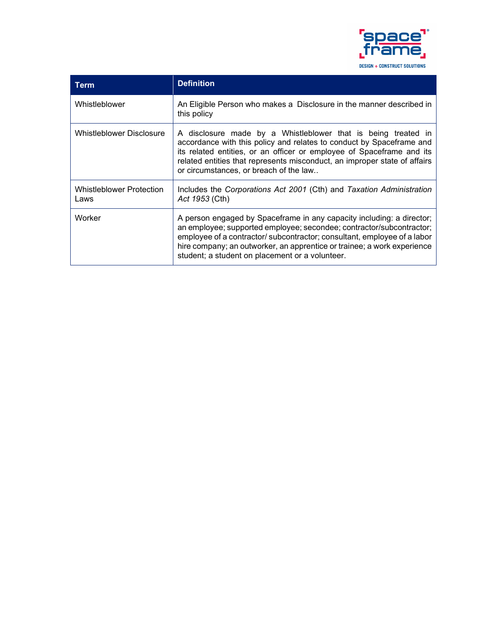

| Term                                    | <b>Definition</b>                                                                                                                                                                                                                                                                                                                                       |
|-----------------------------------------|---------------------------------------------------------------------------------------------------------------------------------------------------------------------------------------------------------------------------------------------------------------------------------------------------------------------------------------------------------|
| Whistleblower                           | An Eligible Person who makes a Disclosure in the manner described in<br>this policy                                                                                                                                                                                                                                                                     |
| Whistleblower Disclosure                | A disclosure made by a Whistleblower that is being treated in<br>accordance with this policy and relates to conduct by Spaceframe and<br>its related entities, or an officer or employee of Spaceframe and its<br>related entities that represents misconduct, an improper state of affairs<br>or circumstances, or breach of the law                   |
| <b>Whistleblower Protection</b><br>Laws | Includes the Corporations Act 2001 (Cth) and Taxation Administration<br>Act 1953 (Cth)                                                                                                                                                                                                                                                                  |
| Worker                                  | A person engaged by Spaceframe in any capacity including: a director;<br>an employee; supported employee; secondee; contractor/subcontractor;<br>employee of a contractor/ subcontractor; consultant, employee of a labor<br>hire company; an outworker, an apprentice or trainee; a work experience<br>student; a student on placement or a volunteer. |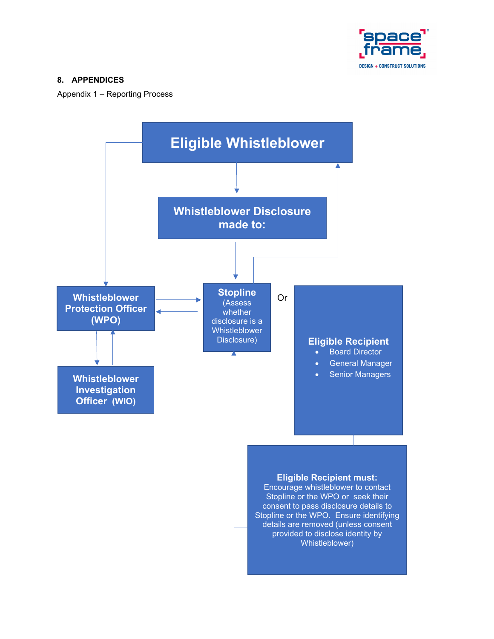

# **8. APPENDICES**

Appendix 1 – Reporting Process